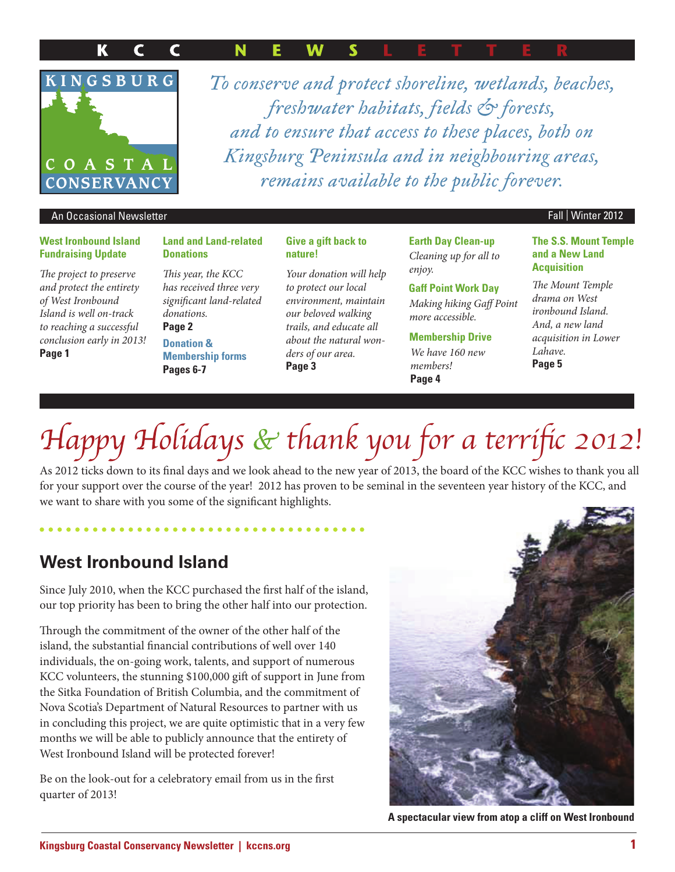#### K  $\mathbf C$  $\mathbf C$ N W



*To conserve and protect shoreline, wetlands, beaches, freshwater habitats, fields & forests, and to ensure that access to these places, both on Kingsburg Peninsula and in neighbouring areas, remains available to the public forever.*

#### An Occasional Newsletter Fall | Winter 2012

#### **West Ironbound Island Fundraising Update**

The project to preserve and protect the entirety of West Ironbound Island is well on-track to reaching a successful conclusion early in 2013! **Page 1**

#### **Land and Land-related Donations**

This year, the KCC has received three very significant land-related donations.

#### **Page 2**

**Donation & Membership forms Pages 6-7**

#### **Give a gift back to nature!**

Your donation will help to protect our local environment, maintain our beloved walking trails, and educate all about the natural wonders of our area. **Page 3**

**Earth Day Clean-up** Cleaning up for all to enjoy.

#### **Gaff Point Work Day**

Making hiking Gaff Point more accessible.

**Membership Drive** We have 160 new members! **Page 4**

#### **The S.S. Mount Temple and a New Land Acquisition**

The Mount Temple drama on West ironbound Island. And, a new land acquisition in Lower Lahave. **Page 5**

# Happy Holidays & thank you for a terrific 2012!

As 2012 ticks down to its final days and we look ahead to the new year of 2013, the board of the KCC wishes to thank you all for your support over the course of the year! 2012 has proven to be seminal in the seventeen year history of the KCC, and we want to share with you some of the significant highlights.

### **West Ironbound Island**

Since July 2010, when the KCC purchased the first half of the island, our top priority has been to bring the other half into our protection.

Through the commitment of the owner of the other half of the island, the substantial financial contributions of well over 140 individuals, the on-going work, talents, and support of numerous KCC volunteers, the stunning \$100,000 gift of support in June from the Sitka Foundation of British Columbia, and the commitment of Nova Scotia's Department of Natural Resources to partner with us in concluding this project, we are quite optimistic that in a very few months we will be able to publicly announce that the entirety of West Ironbound Island will be protected forever!

Be on the look-out for a celebratory email from us in the first quarter of 2013!



**A spectacular view from atop a cliff on West Ironbound**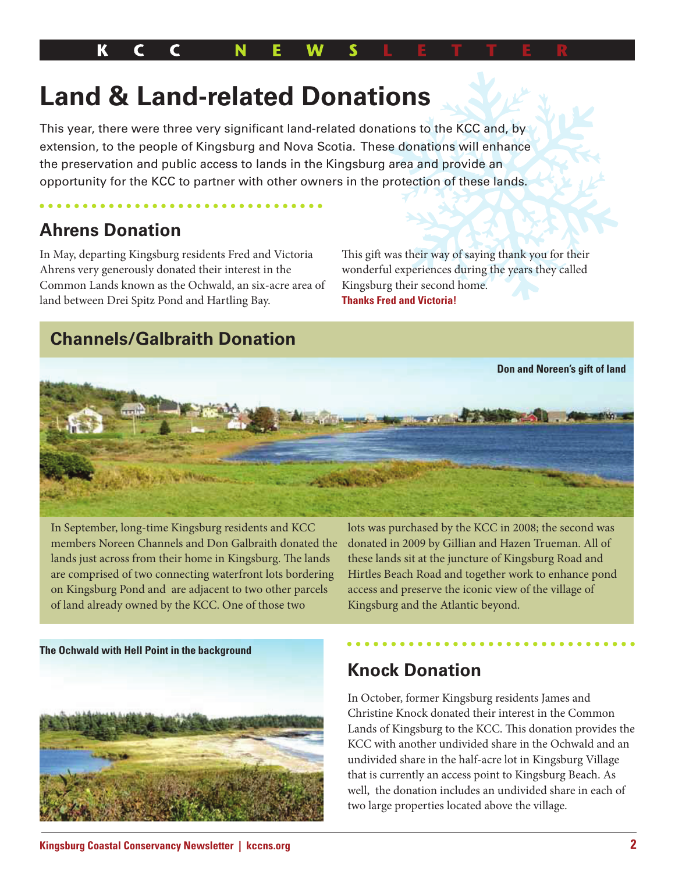## **Land & Land-related Donations**

This year, there were three very significant land-related donations to the KCC and, by extension, to the people of Kingsburg and Nova Scotia. These donations will enhance the preservation and public access to lands in the Kingsburg area and provide an opportunity for the KCC to partner with other owners in the protection of these lands.

## **Ahrens Donation**

In May, departing Kingsburg residents Fred and Victoria Ahrens very generously donated their interest in the Common Lands known as the Ochwald, an six-acre area of land between Drei Spitz Pond and Hartling Bay.

This gift was their way of saying thank you for their wonderful experiences during the years they called Kingsburg their second home. **Thanks Fred and Victoria!** 

## **Channels/Galbraith Donation**



In September, long-time Kingsburg residents and KCC members Noreen Channels and Don Galbraith donated the lands just across from their home in Kingsburg. The lands are comprised of two connecting waterfront lots bordering on Kingsburg Pond and are adjacent to two other parcels of land already owned by the KCC. One of those two

lots was purchased by the KCC in 2008; the second was donated in 2009 by Gillian and Hazen Trueman. All of these lands sit at the juncture of Kingsburg Road and Hirtles Beach Road and together work to enhance pond access and preserve the iconic view of the village of Kingsburg and the Atlantic beyond.

**The Ochwald with Hell Point in the background**



## **Knock Donation**

In October, former Kingsburg residents James and Christine Knock donated their interest in the Common Lands of Kingsburg to the KCC. This donation provides the KCC with another undivided share in the Ochwald and an undivided share in the half-acre lot in Kingsburg Village that is currently an access point to Kingsburg Beach. As well, the donation includes an undivided share in each of two large properties located above the village.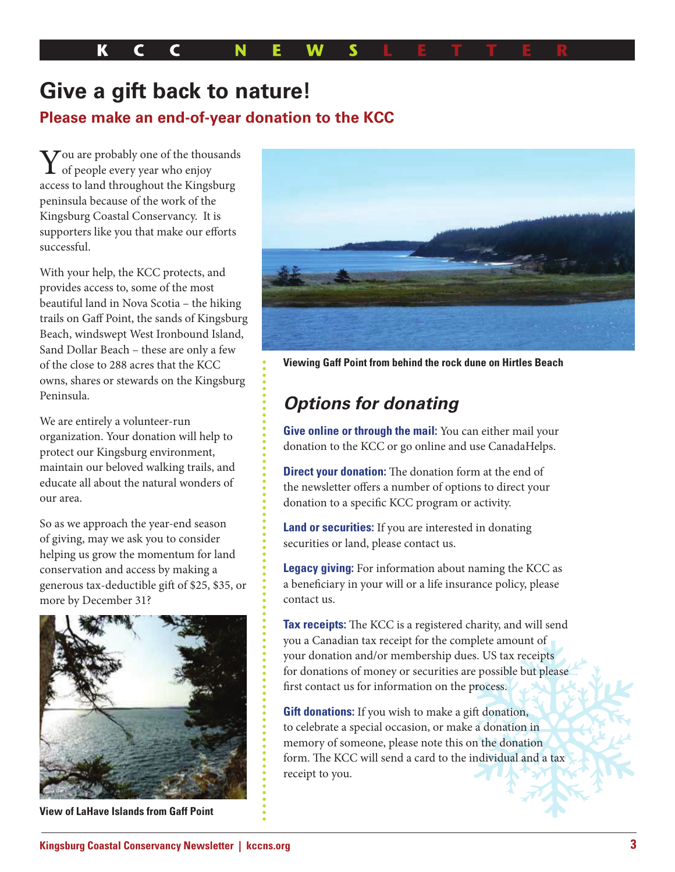К N

## **Give a gift back to nature!**

#### **Please make an end-of-year donation to the KCC**

You are probably one of the thou  $\sum$  ou are probably one of the thousands access to land throughout the Kingsburg peninsula because of the work of the Kingsburg Coastal Conservancy. It is supporters like you that make our efforts successful.

With your help, the KCC protects, and provides access to, some of the most beautiful land in Nova Scotia – the hiking trails on Gaff Point, the sands of Kingsburg Beach, windswept West Ironbound Island, Sand Dollar Beach – these are only a few of the close to 288 acres that the KCC owns, shares or stewards on the Kingsburg Peninsula.

We are entirely a volunteer-run organization. Your donation will help to protect our Kingsburg environment, maintain our beloved walking trails, and educate all about the natural wonders of our area.

So as we approach the year-end season of giving, may we ask you to consider helping us grow the momentum for land conservation and access by making a generous tax-deductible gift of \$25, \$35, or more by December 31?



**View of LaHave Islands from Gaff Point**



**Viewing Gaff Point from behind the rock dune on Hirtles Beach**

## **Options for donating**

**Give online or through the mail:** You can either mail your donation to the KCC or go online and use CanadaHelps.

**Direct your donation:** The donation form at the end of the newsletter offers a number of options to direct your donation to a specific KCC program or activity.

**Land or securities:** If you are interested in donating securities or land, please contact us.

**Legacy giving:** For information about naming the KCC as a beneficiary in your will or a life insurance policy, please contact us.

Tax receipts: The KCC is a registered charity, and will send you a Canadian tax receipt for the complete amount of your donation and/or membership dues. US tax receipts for donations of money or securities are possible but please first contact us for information on the process.

**Gift donations:** If you wish to make a gift donation, to celebrate a special occasion, or make a donation in memory of someone, please note this on the donation form. The KCC will send a card to the individual and a tax receipt to you.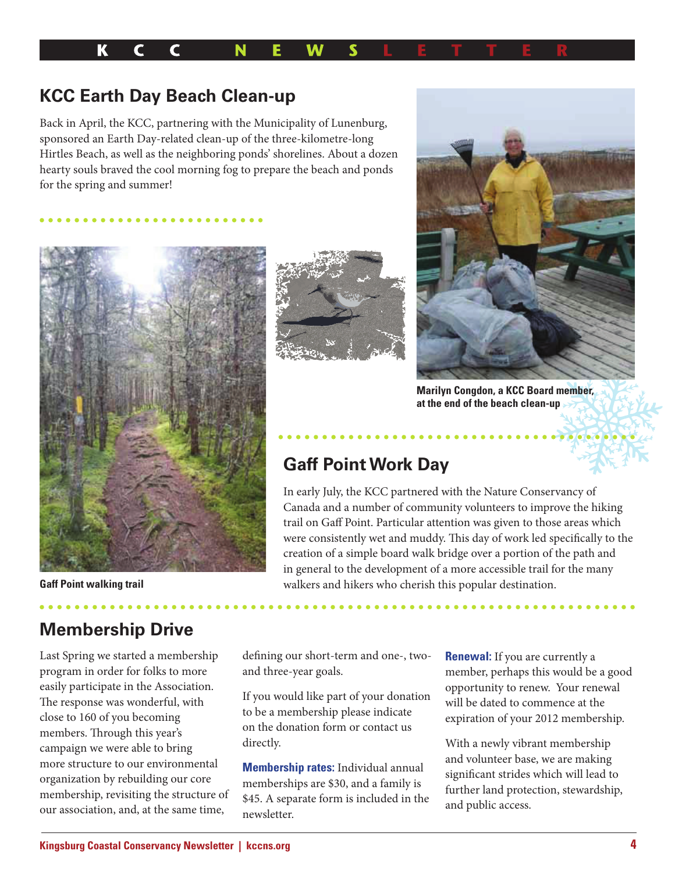

#### **KCC Earth Day Beach Clean-up**

Back in April, the KCC, partnering with the Municipality of Lunenburg, sponsored an Earth Day-related clean-up of the three-kilometre-long Hirtles Beach, as well as the neighboring ponds' shorelines. About a dozen hearty souls braved the cool morning fog to prepare the beach and ponds for the spring and summer!







**Marilyn Congdon, a KCC Board member, at the end of the beach clean-up**

### **Gaff Point Work Day**

In early July, the KCC partnered with the Nature Conservancy of Canada and a number of community volunteers to improve the hiking trail on Gaff Point. Particular attention was given to those areas which were consistently wet and muddy. This day of work led specifically to the creation of a simple board walk bridge over a portion of the path and in general to the development of a more accessible trail for the many walkers and hikers who cherish this popular destination.

**Gaff Point walking trail**

## **Membership Drive**

Last Spring we started a membership program in order for folks to more easily participate in the Association. The response was wonderful, with close to 160 of you becoming members. Through this year's campaign we were able to bring more structure to our environmental organization by rebuilding our core membership, revisiting the structure of our association, and, at the same time,

defining our short-term and one-, twoand three-year goals.

If you would like part of your donation to be a membership please indicate on the donation form or contact us directly.

**Membership rates:** Individual annual memberships are \$30, and a family is \$45. A separate form is included in the newsletter.

**Renewal:** If you are currently a member, perhaps this would be a good opportunity to renew. Your renewal will be dated to commence at the expiration of your 2012 membership.

With a newly vibrant membership and volunteer base, we are making significant strides which will lead to further land protection, stewardship, and public access.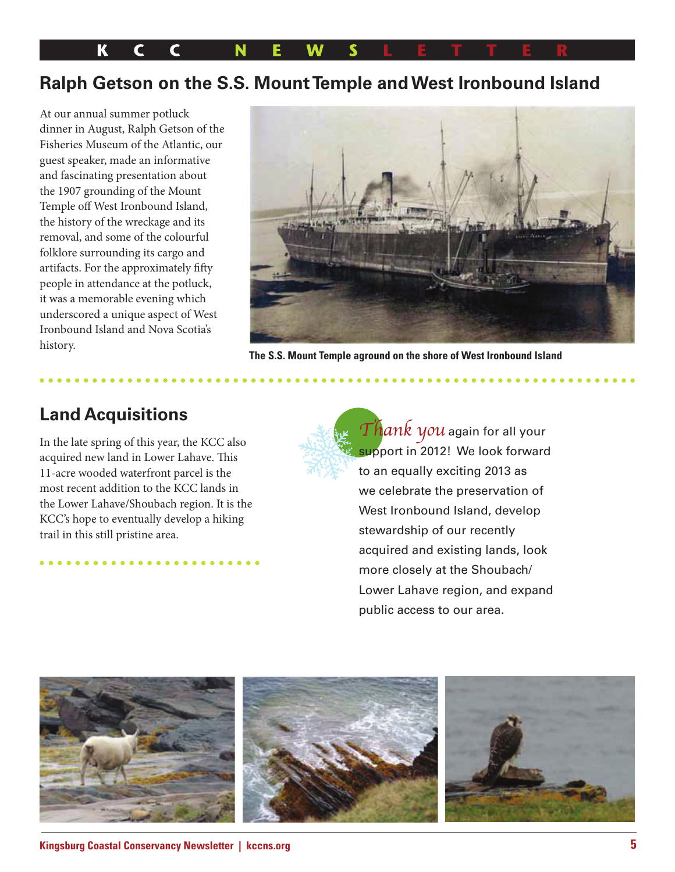K C C N

#### **Ralph Getson on the S.S. Mount Temple and West Ironbound Island**

At our annual summer potluck dinner in August, Ralph Getson of the Fisheries Museum of the Atlantic, our guest speaker, made an informative and fascinating presentation about the 1907 grounding of the Mount Temple off West Ironbound Island, the history of the wreckage and its removal, and some of the colourful folklore surrounding its cargo and artifacts. For the approximately fifty people in attendance at the potluck, it was a memorable evening which underscored a unique aspect of West Ironbound Island and Nova Scotia's history.



**The S.S. Mount Temple aground on the shore of West Ironbound Island**

### **Land Acquisitions**

In the late spring of this year, the KCC also acquired new land in Lower Lahave. This 11-acre wooded waterfront parcel is the most recent addition to the KCC lands in the Lower Lahave/Shoubach region. It is the KCC's hope to eventually develop a hiking trail in this still pristine area.

Thank you again for all your support in 2012! We look forward to an equally exciting 2013 as we celebrate the preservation of West Ironbound Island, develop stewardship of our recently acquired and existing lands, look more closely at the Shoubach/ Lower Lahave region, and expand public access to our area.

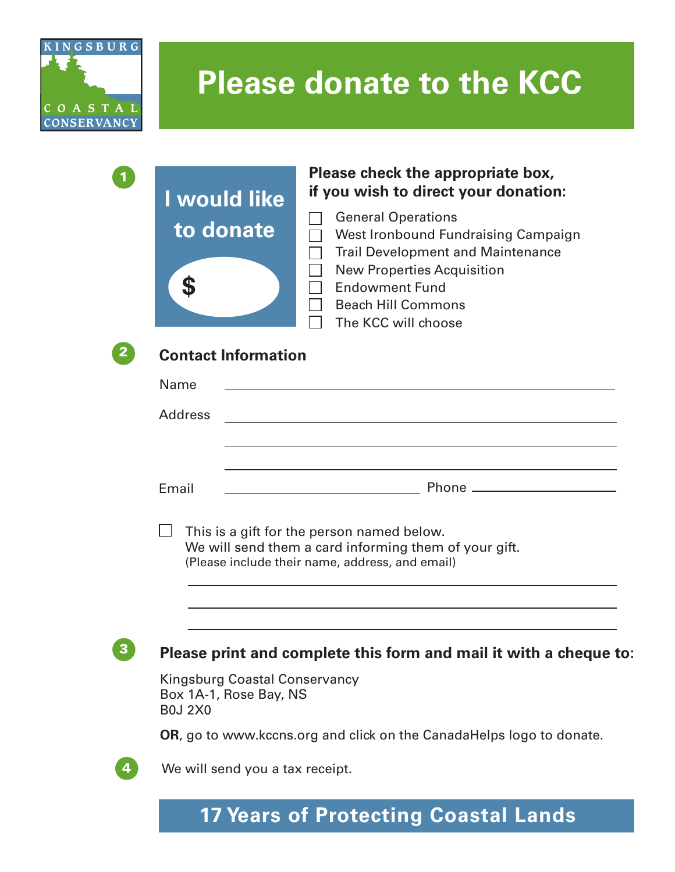

# **Please donate to the KCC**



#### **Please check the appropriate box, if you wish to direct your donation:**

- General Operations
- West Ironbound Fundraising Campaign
- $\Box$  Trail Development and Maintenance
- New Properties Acquisition  $\Box$
- □ Endowment Fund
	- Beach Hill Commons
	- The KCC will choose



 $\overline{1}$ 

#### **Contact Information**

| Name                                                                                                                                                   |  |
|--------------------------------------------------------------------------------------------------------------------------------------------------------|--|
| <b>Address</b>                                                                                                                                         |  |
|                                                                                                                                                        |  |
|                                                                                                                                                        |  |
| Email                                                                                                                                                  |  |
| This is a gift for the person named below.<br>We will send them a card informing them of your gift.<br>(Please include their name, address, and email) |  |

### <sup>3</sup> **Please print and complete this form and mail it with a cheque to:**

Kingsburg Coastal Conservancy Box 1A-1, Rose Bay, NS B0J 2X0

**OR**, go to www.kccns.org and click on the CanadaHelps logo to donate.

4 We will send you a tax receipt.

## **17 Years of Protecting Coastal Lands**